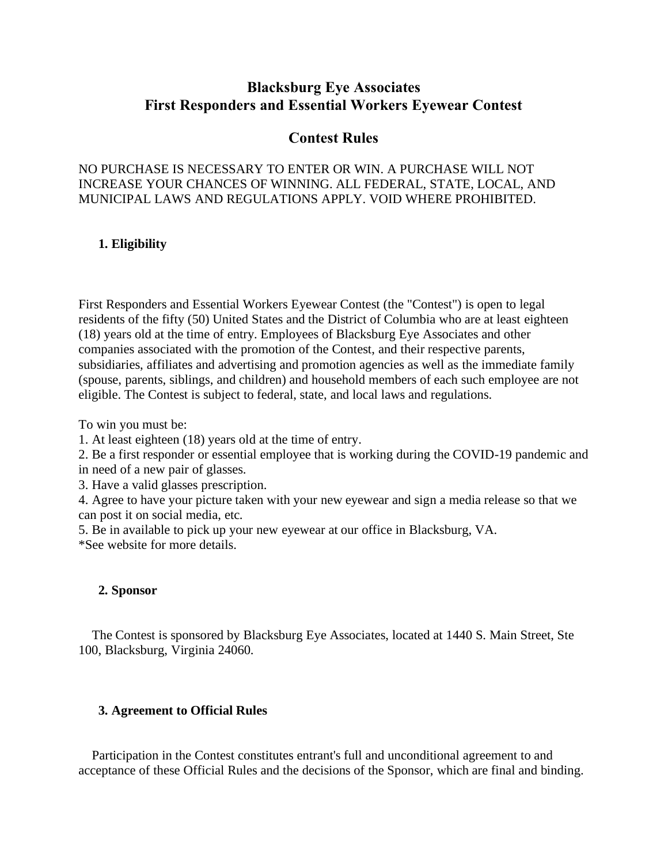# **Blacksburg Eye Associates First Responders and Essential Workers Eyewear Contest**

# **Contest Rules**

# NO PURCHASE IS NECESSARY TO ENTER OR WIN. A PURCHASE WILL NOT INCREASE YOUR CHANCES OF WINNING. ALL FEDERAL, STATE, LOCAL, AND MUNICIPAL LAWS AND REGULATIONS APPLY. VOID WHERE PROHIBITED.

# **1. Eligibility**

First Responders and Essential Workers Eyewear Contest (the "Contest") is open to legal residents of the fifty (50) United States and the District of Columbia who are at least eighteen (18) years old at the time of entry. Employees of Blacksburg Eye Associates and other companies associated with the promotion of the Contest, and their respective parents, subsidiaries, affiliates and advertising and promotion agencies as well as the immediate family (spouse, parents, siblings, and children) and household members of each such employee are not eligible. The Contest is subject to federal, state, and local laws and regulations.

To win you must be:

1. At least eighteen (18) years old at the time of entry.

2. Be a first responder or essential employee that is working during the COVID-19 pandemic and in need of a new pair of glasses.

3. Have a valid glasses prescription.

4. Agree to have your picture taken with your new eyewear and sign a media release so that we can post it on social media, etc.

5. Be in available to pick up your new eyewear at our office in Blacksburg, VA.

\*See website for more details.

# **2. Sponsor**

The Contest is sponsored by Blacksburg Eye Associates, located at 1440 S. Main Street, Ste 100, Blacksburg, Virginia 24060.

# **3. Agreement to Official Rules**

Participation in the Contest constitutes entrant's full and unconditional agreement to and acceptance of these Official Rules and the decisions of the Sponsor, which are final and binding.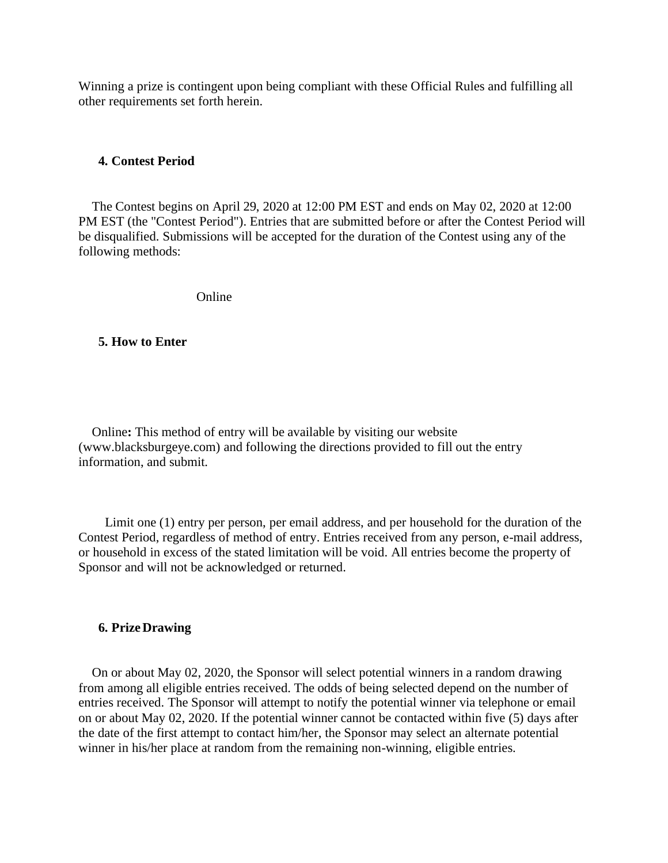Winning a prize is contingent upon being compliant with these Official Rules and fulfilling all other requirements set forth herein.

### **4. Contest Period**

The Contest begins on April 29, 2020 at 12:00 PM EST and ends on May 02, 2020 at 12:00 PM EST (the "Contest Period"). Entries that are submitted before or after the Contest Period will be disqualified. Submissions will be accepted for the duration of the Contest using any of the following methods:

Online

### **5. How to Enter**

Online**:** This method of entry will be available by visiting our website (www.blacksburgeye.com) and following the directions provided to fill out the entry information, and submit.

Limit one (1) entry per person, per email address, and per household for the duration of the Contest Period, regardless of method of entry. Entries received from any person, e-mail address, or household in excess of the stated limitation will be void. All entries become the property of Sponsor and will not be acknowledged or returned.

#### **6. PrizeDrawing**

On or about May 02, 2020, the Sponsor will select potential winners in a random drawing from among all eligible entries received. The odds of being selected depend on the number of entries received. The Sponsor will attempt to notify the potential winner via telephone or email on or about May 02, 2020. If the potential winner cannot be contacted within five (5) days after the date of the first attempt to contact him/her, the Sponsor may select an alternate potential winner in his/her place at random from the remaining non-winning, eligible entries.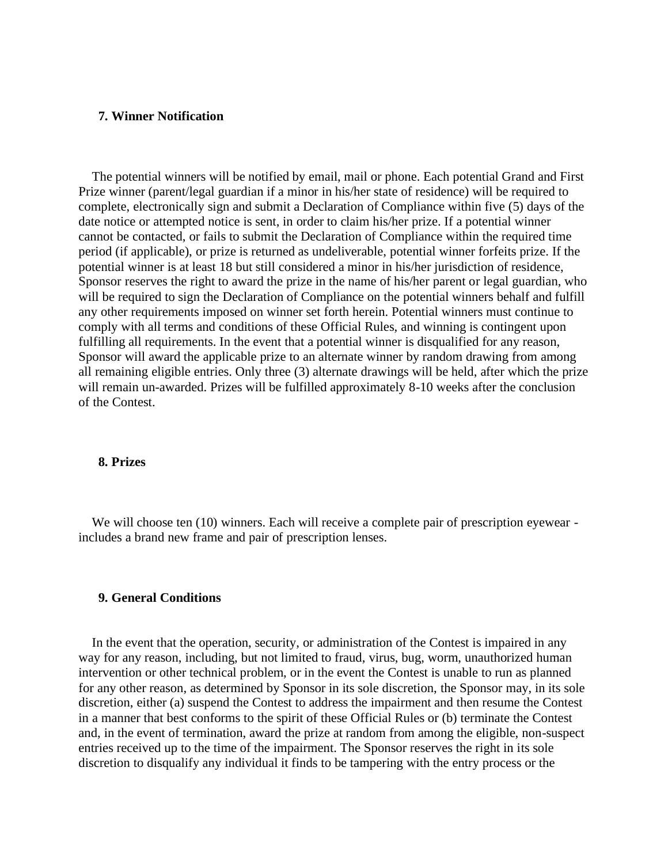### **7. Winner Notification**

The potential winners will be notified by email, mail or phone. Each potential Grand and First Prize winner (parent/legal guardian if a minor in his/her state of residence) will be required to complete, electronically sign and submit a Declaration of Compliance within five (5) days of the date notice or attempted notice is sent, in order to claim his/her prize. If a potential winner cannot be contacted, or fails to submit the Declaration of Compliance within the required time period (if applicable), or prize is returned as undeliverable, potential winner forfeits prize. If the potential winner is at least 18 but still considered a minor in his/her jurisdiction of residence, Sponsor reserves the right to award the prize in the name of his/her parent or legal guardian, who will be required to sign the Declaration of Compliance on the potential winners behalf and fulfill any other requirements imposed on winner set forth herein. Potential winners must continue to comply with all terms and conditions of these Official Rules, and winning is contingent upon fulfilling all requirements. In the event that a potential winner is disqualified for any reason, Sponsor will award the applicable prize to an alternate winner by random drawing from among all remaining eligible entries. Only three (3) alternate drawings will be held, after which the prize will remain un-awarded. Prizes will be fulfilled approximately 8-10 weeks after the conclusion of the Contest.

### **8. Prizes**

We will choose ten (10) winners. Each will receive a complete pair of prescription eyewear includes a brand new frame and pair of prescription lenses.

### **9. General Conditions**

In the event that the operation, security, or administration of the Contest is impaired in any way for any reason, including, but not limited to fraud, virus, bug, worm, unauthorized human intervention or other technical problem, or in the event the Contest is unable to run as planned for any other reason, as determined by Sponsor in its sole discretion, the Sponsor may, in its sole discretion, either (a) suspend the Contest to address the impairment and then resume the Contest in a manner that best conforms to the spirit of these Official Rules or (b) terminate the Contest and, in the event of termination, award the prize at random from among the eligible, non-suspect entries received up to the time of the impairment. The Sponsor reserves the right in its sole discretion to disqualify any individual it finds to be tampering with the entry process or the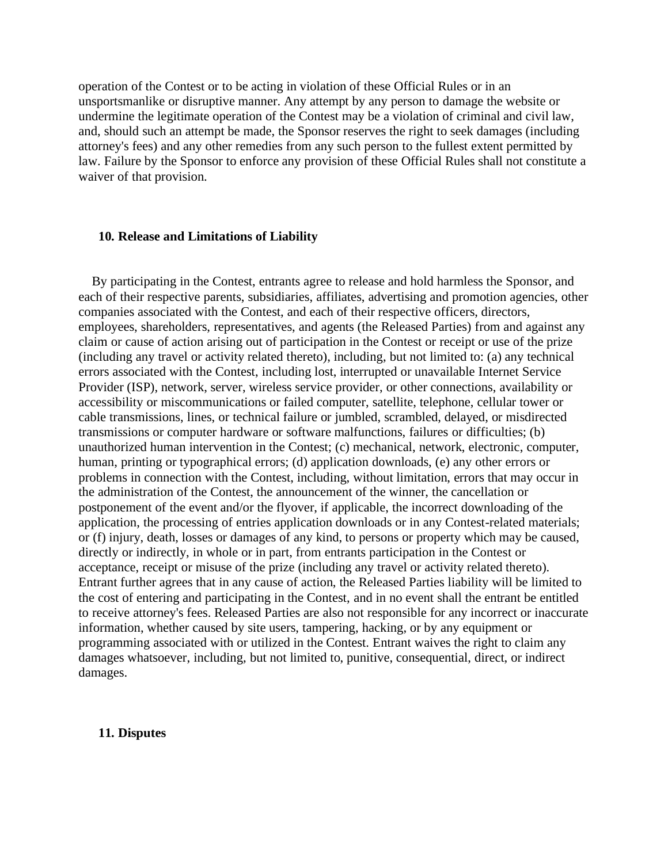operation of the Contest or to be acting in violation of these Official Rules or in an unsportsmanlike or disruptive manner. Any attempt by any person to damage the website or undermine the legitimate operation of the Contest may be a violation of criminal and civil law, and, should such an attempt be made, the Sponsor reserves the right to seek damages (including attorney's fees) and any other remedies from any such person to the fullest extent permitted by law. Failure by the Sponsor to enforce any provision of these Official Rules shall not constitute a waiver of that provision.

### **10. Release and Limitations of Liability**

By participating in the Contest, entrants agree to release and hold harmless the Sponsor, and each of their respective parents, subsidiaries, affiliates, advertising and promotion agencies, other companies associated with the Contest, and each of their respective officers, directors, employees, shareholders, representatives, and agents (the Released Parties) from and against any claim or cause of action arising out of participation in the Contest or receipt or use of the prize (including any travel or activity related thereto), including, but not limited to: (a) any technical errors associated with the Contest, including lost, interrupted or unavailable Internet Service Provider (ISP), network, server, wireless service provider, or other connections, availability or accessibility or miscommunications or failed computer, satellite, telephone, cellular tower or cable transmissions, lines, or technical failure or jumbled, scrambled, delayed, or misdirected transmissions or computer hardware or software malfunctions, failures or difficulties; (b) unauthorized human intervention in the Contest; (c) mechanical, network, electronic, computer, human, printing or typographical errors; (d) application downloads, (e) any other errors or problems in connection with the Contest, including, without limitation, errors that may occur in the administration of the Contest, the announcement of the winner, the cancellation or postponement of the event and/or the flyover, if applicable, the incorrect downloading of the application, the processing of entries application downloads or in any Contest-related materials; or (f) injury, death, losses or damages of any kind, to persons or property which may be caused, directly or indirectly, in whole or in part, from entrants participation in the Contest or acceptance, receipt or misuse of the prize (including any travel or activity related thereto). Entrant further agrees that in any cause of action, the Released Parties liability will be limited to the cost of entering and participating in the Contest, and in no event shall the entrant be entitled to receive attorney's fees. Released Parties are also not responsible for any incorrect or inaccurate information, whether caused by site users, tampering, hacking, or by any equipment or programming associated with or utilized in the Contest. Entrant waives the right to claim any damages whatsoever, including, but not limited to, punitive, consequential, direct, or indirect damages.

#### **11. Disputes**